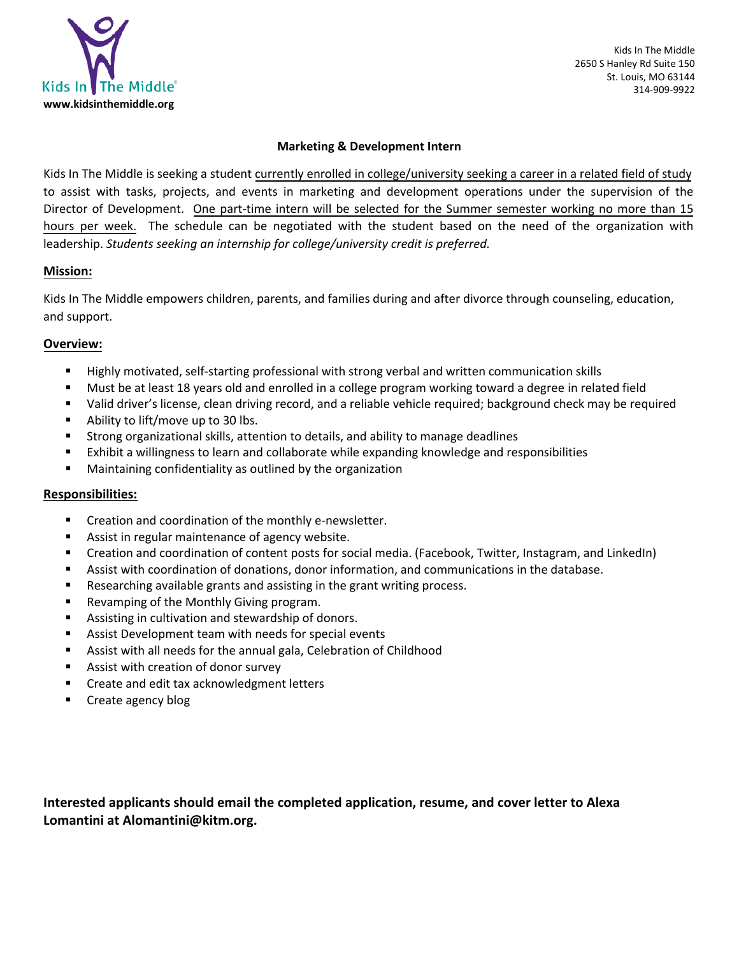

 Kids In The Middle 2650 S Hanley Rd Suite 150 St. Louis, MO 63144 314-909-9922

### **Marketing & Development Intern**

Kids In The Middle is seeking a student currently enrolled in college/university seeking a career in a related field of study to assist with tasks, projects, and events in marketing and development operations under the supervision of the Director of Development. One part-time intern will be selected for the Summer semester working no more than 15 hours per week. The schedule can be negotiated with the student based on the need of the organization with leadership. *Students seeking an internship for college/university credit is preferred.* 

## **Mission:**

Kids In The Middle empowers children, parents, and families during and after divorce through counseling, education, and support.

## **Overview:**

- Highly motivated, self-starting professional with strong verbal and written communication skills
- Must be at least 18 years old and enrolled in a college program working toward a degree in related field
- Valid driver's license, clean driving record, and a reliable vehicle required; background check may be required
- Ability to lift/move up to 30 lbs.
- Strong organizational skills, attention to details, and ability to manage deadlines
- Exhibit a willingness to learn and collaborate while expanding knowledge and responsibilities
- Maintaining confidentiality as outlined by the organization

## **Responsibilities:**

- Creation and coordination of the monthly e-newsletter.
- Assist in regular maintenance of agency website.
- Creation and coordination of content posts for social media. (Facebook, Twitter, Instagram, and LinkedIn)
- Assist with coordination of donations, donor information, and communications in the database.
- Researching available grants and assisting in the grant writing process.
- Revamping of the Monthly Giving program.
- Assisting in cultivation and stewardship of donors.
- Assist Development team with needs for special events
- Assist with all needs for the annual gala, Celebration of Childhood
- Assist with creation of donor survey
- Create and edit tax acknowledgment letters
- Create agency blog

**Interested applicants should email the completed application, resume, and cover letter to Alexa Lomantini at Alomantini@kitm.org.**